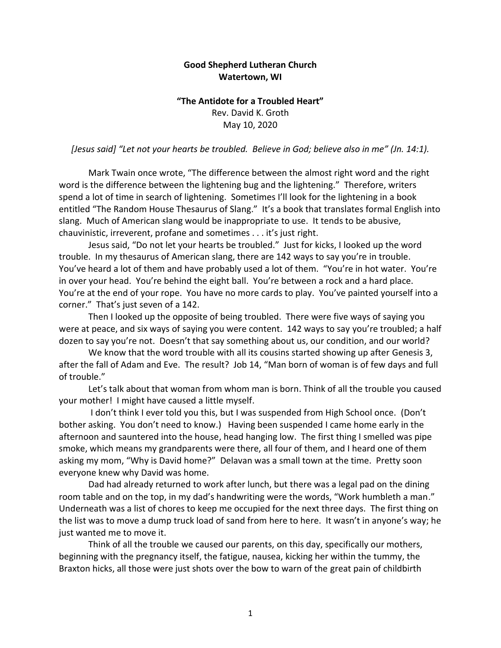## **Good Shepherd Lutheran Church Watertown, WI**

## **"The Antidote for a Troubled Heart"** Rev. David K. Groth May 10, 2020

*[Jesus said] "Let not your hearts be troubled. Believe in God; believe also in me" (Jn. 14:1).*

Mark Twain once wrote, "The difference between the almost right word and the right word is the difference between the lightening bug and the lightening." Therefore, writers spend a lot of time in search of lightening. Sometimes I'll look for the lightening in a book entitled "The Random House Thesaurus of Slang." It's a book that translates formal English into slang. Much of American slang would be inappropriate to use. It tends to be abusive, chauvinistic, irreverent, profane and sometimes . . . it's just right.

Jesus said, "Do not let your hearts be troubled." Just for kicks, I looked up the word trouble. In my thesaurus of American slang, there are 142 ways to say you're in trouble. You've heard a lot of them and have probably used a lot of them. "You're in hot water. You're in over your head. You're behind the eight ball. You're between a rock and a hard place. You're at the end of your rope. You have no more cards to play. You've painted yourself into a corner." That's just seven of a 142.

Then I looked up the opposite of being troubled. There were five ways of saying you were at peace, and six ways of saying you were content. 142 ways to say you're troubled; a half dozen to say you're not. Doesn't that say something about us, our condition, and our world?

We know that the word trouble with all its cousins started showing up after Genesis 3, after the fall of Adam and Eve. The result? Job 14, "Man born of woman is of few days and full of trouble."

Let's talk about that woman from whom man is born. Think of all the trouble you caused your mother! I might have caused a little myself.

I don't think I ever told you this, but I was suspended from High School once. (Don't bother asking. You don't need to know.) Having been suspended I came home early in the afternoon and sauntered into the house, head hanging low. The first thing I smelled was pipe smoke, which means my grandparents were there, all four of them, and I heard one of them asking my mom, "Why is David home?" Delavan was a small town at the time. Pretty soon everyone knew why David was home.

Dad had already returned to work after lunch, but there was a legal pad on the dining room table and on the top, in my dad's handwriting were the words, "Work humbleth a man." Underneath was a list of chores to keep me occupied for the next three days. The first thing on the list was to move a dump truck load of sand from here to here. It wasn't in anyone's way; he just wanted me to move it.

Think of all the trouble we caused our parents, on this day, specifically our mothers, beginning with the pregnancy itself, the fatigue, nausea, kicking her within the tummy, the Braxton hicks, all those were just shots over the bow to warn of the great pain of childbirth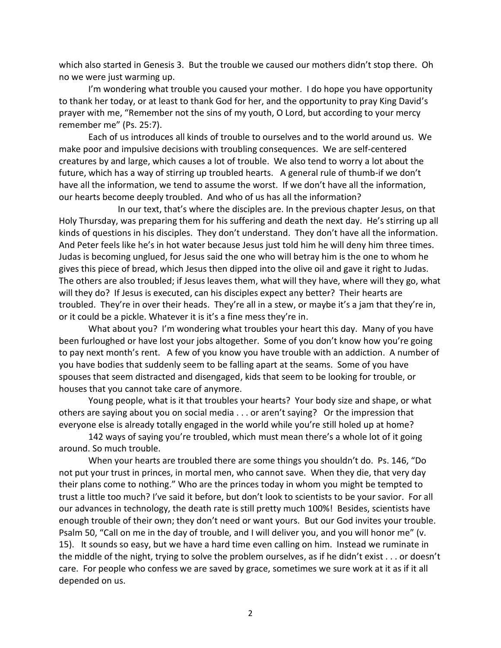which also started in Genesis 3. But the trouble we caused our mothers didn't stop there. Oh no we were just warming up.

I'm wondering what trouble you caused your mother. I do hope you have opportunity to thank her today, or at least to thank God for her, and the opportunity to pray King David's prayer with me, "Remember not the sins of my youth, O Lord, but according to your mercy remember me" (Ps. 25:7).

Each of us introduces all kinds of trouble to ourselves and to the world around us. We make poor and impulsive decisions with troubling consequences. We are self-centered creatures by and large, which causes a lot of trouble. We also tend to worry a lot about the future, which has a way of stirring up troubled hearts. A general rule of thumb-if we don't have all the information, we tend to assume the worst. If we don't have all the information, our hearts become deeply troubled. And who of us has all the information?

In our text, that's where the disciples are. In the previous chapter Jesus, on that Holy Thursday, was preparing them for his suffering and death the next day. He's stirring up all kinds of questions in his disciples. They don't understand. They don't have all the information. And Peter feels like he's in hot water because Jesus just told him he will deny him three times. Judas is becoming unglued, for Jesus said the one who will betray him is the one to whom he gives this piece of bread, which Jesus then dipped into the olive oil and gave it right to Judas. The others are also troubled; if Jesus leaves them, what will they have, where will they go, what will they do? If Jesus is executed, can his disciples expect any better? Their hearts are troubled. They're in over their heads. They're all in a stew, or maybe it's a jam that they're in, or it could be a pickle. Whatever it is it's a fine mess they're in.

What about you? I'm wondering what troubles your heart this day. Many of you have been furloughed or have lost your jobs altogether. Some of you don't know how you're going to pay next month's rent. A few of you know you have trouble with an addiction. A number of you have bodies that suddenly seem to be falling apart at the seams. Some of you have spouses that seem distracted and disengaged, kids that seem to be looking for trouble, or houses that you cannot take care of anymore.

Young people, what is it that troubles your hearts? Your body size and shape, or what others are saying about you on social media . . . or aren't saying? Or the impression that everyone else is already totally engaged in the world while you're still holed up at home?

142 ways of saying you're troubled, which must mean there's a whole lot of it going around. So much trouble.

When your hearts are troubled there are some things you shouldn't do. Ps. 146, "Do not put your trust in princes, in mortal men, who cannot save. When they die, that very day their plans come to nothing." Who are the princes today in whom you might be tempted to trust a little too much? I've said it before, but don't look to scientists to be your savior. For all our advances in technology, the death rate is still pretty much 100%! Besides, scientists have enough trouble of their own; they don't need or want yours. But our God invites your trouble. Psalm 50, "Call on me in the day of trouble, and I will deliver you, and you will honor me" (v. 15). It sounds so easy, but we have a hard time even calling on him. Instead we ruminate in the middle of the night, trying to solve the problem ourselves, as if he didn't exist . . . or doesn't care. For people who confess we are saved by grace, sometimes we sure work at it as if it all depended on us.